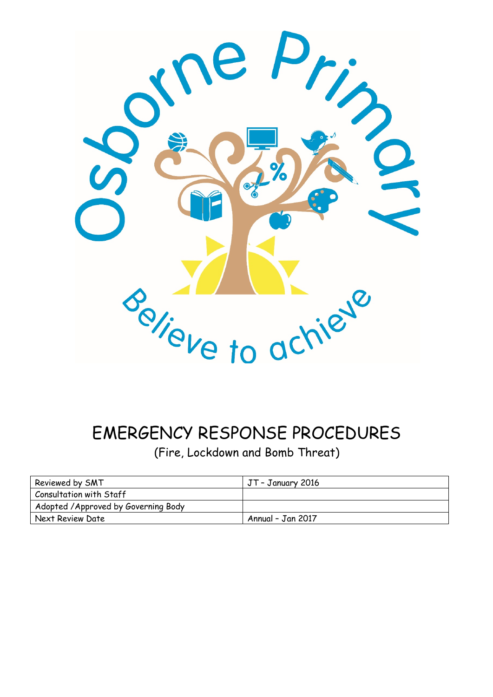

# EMERGENCY RESPONSE PROCEDURES

(Fire, Lockdown and Bomb Threat)

| Reviewed by SMT                      | JT - January 2016 |  |  |
|--------------------------------------|-------------------|--|--|
| Consultation with Staff              |                   |  |  |
| Adopted / Approved by Governing Body |                   |  |  |
| Next Review Date                     | Annual - Jan 2017 |  |  |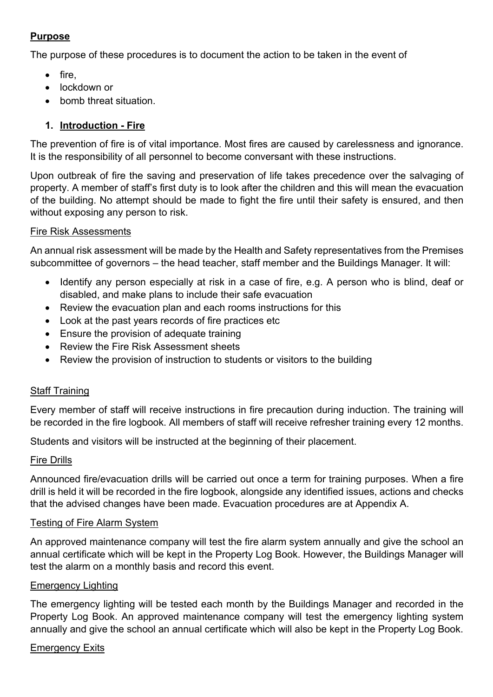## **Purpose**

The purpose of these procedures is to document the action to be taken in the event of

- fire,
- lockdown or
- bomb threat situation.

## **1. Introduction - Fire**

The prevention of fire is of vital importance. Most fires are caused by carelessness and ignorance. It is the responsibility of all personnel to become conversant with these instructions.

Upon outbreak of fire the saving and preservation of life takes precedence over the salvaging of property. A member of staff's first duty is to look after the children and this will mean the evacuation of the building. No attempt should be made to fight the fire until their safety is ensured, and then without exposing any person to risk.

#### Fire Risk Assessments

An annual risk assessment will be made by the Health and Safety representatives from the Premises subcommittee of governors – the head teacher, staff member and the Buildings Manager. It will:

- Identify any person especially at risk in a case of fire, e.g. A person who is blind, deaf or disabled, and make plans to include their safe evacuation
- Review the evacuation plan and each rooms instructions for this
- Look at the past years records of fire practices etc
- Ensure the provision of adequate training
- Review the Fire Risk Assessment sheets
- Review the provision of instruction to students or visitors to the building

#### **Staff Training**

Every member of staff will receive instructions in fire precaution during induction. The training will be recorded in the fire logbook. All members of staff will receive refresher training every 12 months.

Students and visitors will be instructed at the beginning of their placement.

#### Fire Drills

Announced fire/evacuation drills will be carried out once a term for training purposes. When a fire drill is held it will be recorded in the fire logbook, alongside any identified issues, actions and checks that the advised changes have been made. Evacuation procedures are at Appendix A.

#### Testing of Fire Alarm System

An approved maintenance company will test the fire alarm system annually and give the school an annual certificate which will be kept in the Property Log Book. However, the Buildings Manager will test the alarm on a monthly basis and record this event.

#### Emergency Lighting

The emergency lighting will be tested each month by the Buildings Manager and recorded in the Property Log Book. An approved maintenance company will test the emergency lighting system annually and give the school an annual certificate which will also be kept in the Property Log Book.

#### Emergency Exits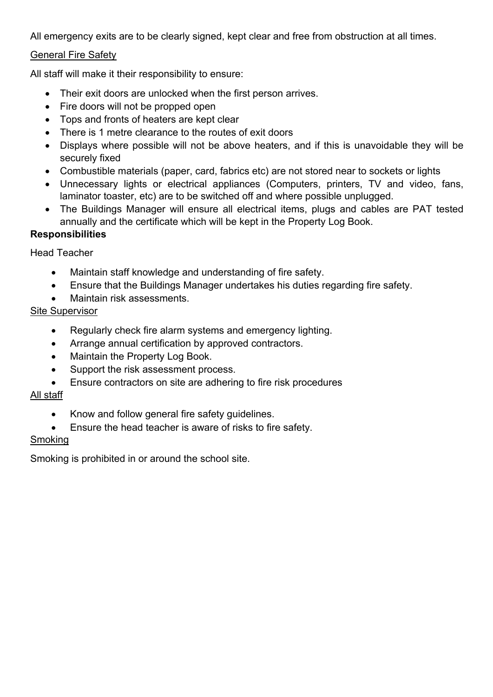All emergency exits are to be clearly signed, kept clear and free from obstruction at all times.

## General Fire Safety

All staff will make it their responsibility to ensure:

- Their exit doors are unlocked when the first person arrives.
- Fire doors will not be propped open
- Tops and fronts of heaters are kept clear
- There is 1 metre clearance to the routes of exit doors
- Displays where possible will not be above heaters, and if this is unavoidable they will be securely fixed
- Combustible materials (paper, card, fabrics etc) are not stored near to sockets or lights
- Unnecessary lights or electrical appliances (Computers, printers, TV and video, fans, laminator toaster, etc) are to be switched off and where possible unplugged.
- The Buildings Manager will ensure all electrical items, plugs and cables are PAT tested annually and the certificate which will be kept in the Property Log Book.

## **Responsibilities**

Head Teacher

- Maintain staff knowledge and understanding of fire safety.
- Ensure that the Buildings Manager undertakes his duties regarding fire safety.
- Maintain risk assessments.

## Site Supervisor

- Regularly check fire alarm systems and emergency lighting.
- Arrange annual certification by approved contractors.
- Maintain the Property Log Book.
- Support the risk assessment process.
- Ensure contractors on site are adhering to fire risk procedures

## All staff

- Know and follow general fire safety guidelines.
- Ensure the head teacher is aware of risks to fire safety.

#### Smoking

Smoking is prohibited in or around the school site.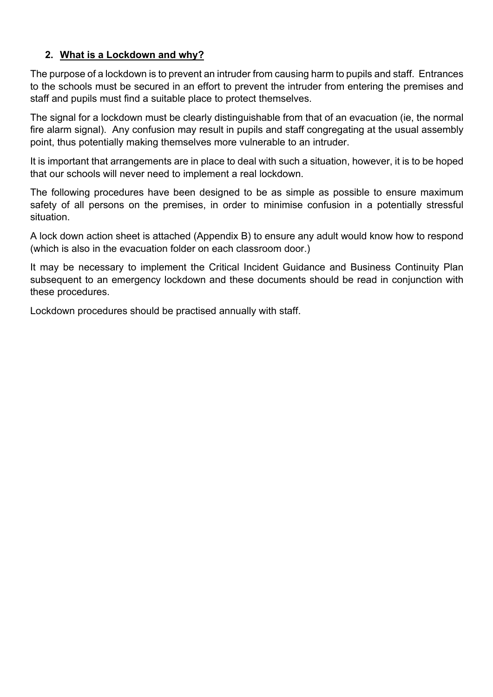## **2. What is a Lockdown and why?**

The purpose of a lockdown is to prevent an intruder from causing harm to pupils and staff. Entrances to the schools must be secured in an effort to prevent the intruder from entering the premises and staff and pupils must find a suitable place to protect themselves.

The signal for a lockdown must be clearly distinguishable from that of an evacuation (ie, the normal fire alarm signal). Any confusion may result in pupils and staff congregating at the usual assembly point, thus potentially making themselves more vulnerable to an intruder.

It is important that arrangements are in place to deal with such a situation, however, it is to be hoped that our schools will never need to implement a real lockdown.

The following procedures have been designed to be as simple as possible to ensure maximum safety of all persons on the premises, in order to minimise confusion in a potentially stressful situation.

A lock down action sheet is attached (Appendix B) to ensure any adult would know how to respond (which is also in the evacuation folder on each classroom door.)

It may be necessary to implement the Critical Incident Guidance and Business Continuity Plan subsequent to an emergency lockdown and these documents should be read in conjunction with these procedures.

Lockdown procedures should be practised annually with staff.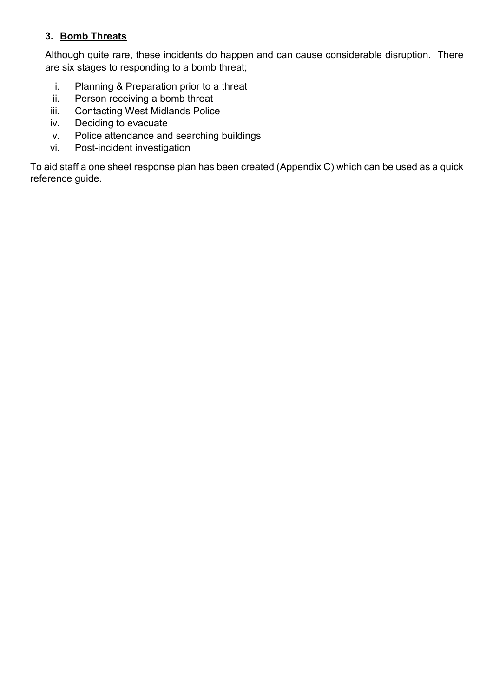## **3. Bomb Threats**

Although quite rare, these incidents do happen and can cause considerable disruption. There are six stages to responding to a bomb threat;

- i. Planning & Preparation prior to a threat
- ii. Person receiving a bomb threat
- iii. Contacting West Midlands Police
- iv. Deciding to evacuate
- v. Police attendance and searching buildings
- vi. Post-incident investigation

To aid staff a one sheet response plan has been created (Appendix C) which can be used as a quick reference guide.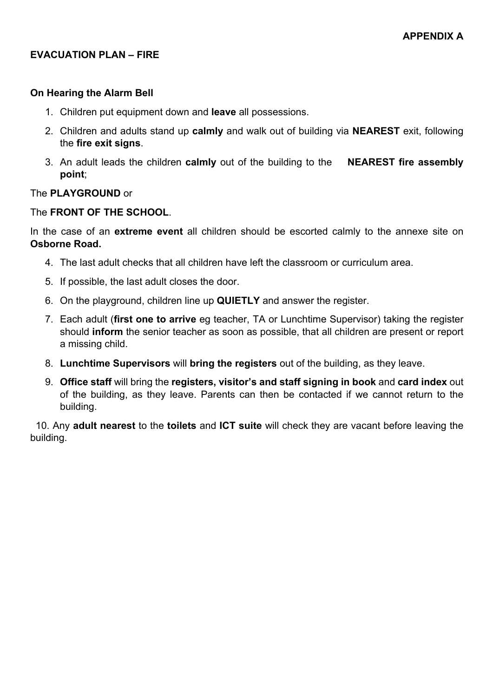## **EVACUATION PLAN – FIRE**

#### **On Hearing the Alarm Bell**

- 1. Children put equipment down and **leave** all possessions.
- 2. Children and adults stand up **calmly** and walk out of building via **NEAREST** exit, following the **fire exit signs**.
- 3. An adult leads the children **calmly** out of the building to the **NEAREST fire assembly point**;

#### The **PLAYGROUND** or

#### The **FRONT OF THE SCHOOL**.

In the case of an **extreme event** all children should be escorted calmly to the annexe site on **Osborne Road.**

- 4. The last adult checks that all children have left the classroom or curriculum area.
- 5. If possible, the last adult closes the door.
- 6. On the playground, children line up **QUIETLY** and answer the register.
- 7. Each adult (**first one to arrive** eg teacher, TA or Lunchtime Supervisor) taking the register should **inform** the senior teacher as soon as possible, that all children are present or report a missing child.
- 8. **Lunchtime Supervisors** will **bring the registers** out of the building, as they leave.
- 9. **Office staff** will bring the **registers, visitor's and staff signing in book** and **card index** out of the building, as they leave. Parents can then be contacted if we cannot return to the building.

 10. Any **adult nearest** to the **toilets** and **ICT suite** will check they are vacant before leaving the building.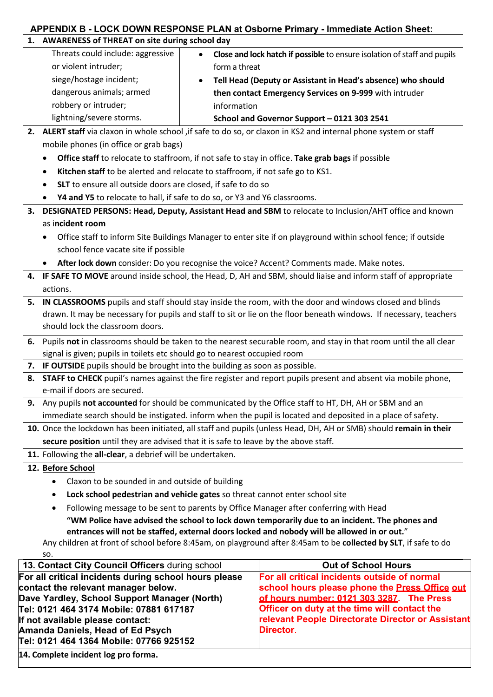## **APPENDIX B - LOCK DOWN RESPONSE PLAN at Osborne Primary - Immediate Action Sheet:**

|                                                                                                                                                                                               | 1. AWARENESS of THREAT on site during school day                                                                                                                                                  |               |                                                                                                                    |  |
|-----------------------------------------------------------------------------------------------------------------------------------------------------------------------------------------------|---------------------------------------------------------------------------------------------------------------------------------------------------------------------------------------------------|---------------|--------------------------------------------------------------------------------------------------------------------|--|
|                                                                                                                                                                                               | Threats could include: aggressive                                                                                                                                                                 |               | Close and lock hatch if possible to ensure isolation of staff and pupils                                           |  |
|                                                                                                                                                                                               | or violent intruder;                                                                                                                                                                              | form a threat |                                                                                                                    |  |
|                                                                                                                                                                                               | siege/hostage incident;<br>Tell Head (Deputy or Assistant in Head's absence) who should                                                                                                           |               |                                                                                                                    |  |
|                                                                                                                                                                                               | dangerous animals; armed                                                                                                                                                                          |               | then contact Emergency Services on 9-999 with intruder                                                             |  |
|                                                                                                                                                                                               | robbery or intruder;                                                                                                                                                                              | information   |                                                                                                                    |  |
|                                                                                                                                                                                               | lightning/severe storms.                                                                                                                                                                          |               | School and Governor Support - 0121 303 2541                                                                        |  |
|                                                                                                                                                                                               |                                                                                                                                                                                                   |               | 2. ALERT staff via claxon in whole school , if safe to do so, or claxon in KS2 and internal phone system or staff  |  |
|                                                                                                                                                                                               | mobile phones (in office or grab bags)                                                                                                                                                            |               |                                                                                                                    |  |
|                                                                                                                                                                                               | ٠                                                                                                                                                                                                 |               | Office staff to relocate to staffroom, if not safe to stay in office. Take grab bags if possible                   |  |
|                                                                                                                                                                                               | Kitchen staff to be alerted and relocate to staffroom, if not safe go to KS1.<br>$\bullet$                                                                                                        |               |                                                                                                                    |  |
|                                                                                                                                                                                               | SLT to ensure all outside doors are closed, if safe to do so                                                                                                                                      |               |                                                                                                                    |  |
|                                                                                                                                                                                               | Y4 and Y5 to relocate to hall, if safe to do so, or Y3 and Y6 classrooms.                                                                                                                         |               |                                                                                                                    |  |
| 3.                                                                                                                                                                                            |                                                                                                                                                                                                   |               | DESIGNATED PERSONS: Head, Deputy, Assistant Head and SBM to relocate to Inclusion/AHT office and known             |  |
|                                                                                                                                                                                               | as incident room                                                                                                                                                                                  |               |                                                                                                                    |  |
|                                                                                                                                                                                               |                                                                                                                                                                                                   |               | Office staff to inform Site Buildings Manager to enter site if on playground within school fence; if outside       |  |
|                                                                                                                                                                                               | school fence vacate site if possible                                                                                                                                                              |               |                                                                                                                    |  |
|                                                                                                                                                                                               |                                                                                                                                                                                                   |               | After lock down consider: Do you recognise the voice? Accent? Comments made. Make notes.                           |  |
| 4.                                                                                                                                                                                            |                                                                                                                                                                                                   |               | IF SAFE TO MOVE around inside school, the Head, D, AH and SBM, should liaise and inform staff of appropriate       |  |
|                                                                                                                                                                                               | actions.                                                                                                                                                                                          |               |                                                                                                                    |  |
| 5.                                                                                                                                                                                            |                                                                                                                                                                                                   |               | IN CLASSROOMS pupils and staff should stay inside the room, with the door and windows closed and blinds            |  |
|                                                                                                                                                                                               |                                                                                                                                                                                                   |               |                                                                                                                    |  |
|                                                                                                                                                                                               | drawn. It may be necessary for pupils and staff to sit or lie on the floor beneath windows. If necessary, teachers<br>should lock the classroom doors.                                            |               |                                                                                                                    |  |
|                                                                                                                                                                                               |                                                                                                                                                                                                   |               |                                                                                                                    |  |
|                                                                                                                                                                                               | 6. Pupils not in classrooms should be taken to the nearest securable room, and stay in that room until the all clear                                                                              |               |                                                                                                                    |  |
|                                                                                                                                                                                               | signal is given; pupils in toilets etc should go to nearest occupied room                                                                                                                         |               |                                                                                                                    |  |
| 8.                                                                                                                                                                                            | IF OUTSIDE pupils should be brought into the building as soon as possible.<br>7.<br>STAFF to CHECK pupil's names against the fire register and report pupils present and absent via mobile phone, |               |                                                                                                                    |  |
|                                                                                                                                                                                               | e-mail if doors are secured.                                                                                                                                                                      |               |                                                                                                                    |  |
| 9.                                                                                                                                                                                            |                                                                                                                                                                                                   |               | Any pupils not accounted for should be communicated by the Office staff to HT, DH, AH or SBM and an                |  |
|                                                                                                                                                                                               |                                                                                                                                                                                                   |               | immediate search should be instigated. inform when the pupil is located and deposited in a place of safety.        |  |
|                                                                                                                                                                                               |                                                                                                                                                                                                   |               | 10. Once the lockdown has been initiated, all staff and pupils (unless Head, DH, AH or SMB) should remain in their |  |
|                                                                                                                                                                                               | secure position until they are advised that it is safe to leave by the above staff.                                                                                                               |               |                                                                                                                    |  |
|                                                                                                                                                                                               | 11. Following the all-clear, a debrief will be undertaken.                                                                                                                                        |               |                                                                                                                    |  |
|                                                                                                                                                                                               | 12. Before School                                                                                                                                                                                 |               |                                                                                                                    |  |
|                                                                                                                                                                                               | Claxon to be sounded in and outside of building                                                                                                                                                   |               |                                                                                                                    |  |
|                                                                                                                                                                                               | Lock school pedestrian and vehicle gates so threat cannot enter school site<br>$\bullet$                                                                                                          |               |                                                                                                                    |  |
|                                                                                                                                                                                               |                                                                                                                                                                                                   |               |                                                                                                                    |  |
|                                                                                                                                                                                               | Following message to be sent to parents by Office Manager after conferring with Head<br>٠                                                                                                         |               |                                                                                                                    |  |
| "WM Police have advised the school to lock down temporarily due to an incident. The phones and<br>entrances will not be staffed, external doors locked and nobody will be allowed in or out." |                                                                                                                                                                                                   |               |                                                                                                                    |  |
| Any children at front of school before 8:45am, on playground after 8:45am to be collected by SLT, if safe to do                                                                               |                                                                                                                                                                                                   |               |                                                                                                                    |  |
| SO.                                                                                                                                                                                           |                                                                                                                                                                                                   |               |                                                                                                                    |  |
|                                                                                                                                                                                               | 13. Contact City Council Officers during school                                                                                                                                                   |               | <b>Out of School Hours</b>                                                                                         |  |
|                                                                                                                                                                                               | For all critical incidents during school hours please                                                                                                                                             |               | For all critical incidents outside of normal                                                                       |  |
|                                                                                                                                                                                               | contact the relevant manager below.                                                                                                                                                               |               | school hours please phone the Press Office out                                                                     |  |
|                                                                                                                                                                                               | Dave Yardley, School Support Manager (North)                                                                                                                                                      |               | of hours number: 0121 303 3287. The Press                                                                          |  |
| Officer on duty at the time will contact the<br>relevant People Directorate Director or Assistant<br>If not available please contact:                                                         |                                                                                                                                                                                                   |               |                                                                                                                    |  |
| Director.<br>Amanda Daniels, Head of Ed Psych                                                                                                                                                 |                                                                                                                                                                                                   |               |                                                                                                                    |  |
|                                                                                                                                                                                               | Tel: 0121 464 1364 Mobile: 07766 925152                                                                                                                                                           |               |                                                                                                                    |  |
|                                                                                                                                                                                               |                                                                                                                                                                                                   |               |                                                                                                                    |  |

**14. Complete incident log pro forma.**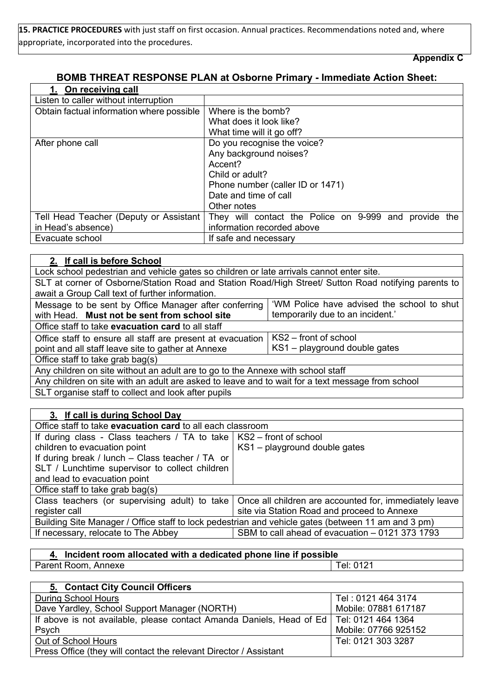**15. PRACTICE PROCEDURES** with just staff on first occasion. Annual practices. Recommendations noted and, where appropriate, incorporated into the procedures.

**Appendix C** 

#### **BOMB THREAT RESPONSE PLAN at Osborne Primary - Immediate Action Sheet:**

| 1. On receiving call                      |                                                       |  |  |
|-------------------------------------------|-------------------------------------------------------|--|--|
| Listen to caller without interruption     |                                                       |  |  |
| Obtain factual information where possible | Where is the bomb?                                    |  |  |
|                                           | What does it look like?                               |  |  |
|                                           | What time will it go off?                             |  |  |
| After phone call                          | Do you recognise the voice?                           |  |  |
|                                           | Any background noises?                                |  |  |
|                                           | Accent?                                               |  |  |
|                                           | Child or adult?                                       |  |  |
|                                           | Phone number (caller ID or 1471)                      |  |  |
|                                           | Date and time of call                                 |  |  |
|                                           | Other notes                                           |  |  |
| Tell Head Teacher (Deputy or Assistant    | They will contact the Police on 9-999 and provide the |  |  |
| in Head's absence)                        | information recorded above                            |  |  |
| Evacuate school                           | If safe and necessary                                 |  |  |

| 2. If call is before School                                                                          |  |  |  |
|------------------------------------------------------------------------------------------------------|--|--|--|
| Lock school pedestrian and vehicle gates so children or late arrivals cannot enter site.             |  |  |  |
| SLT at corner of Osborne/Station Road and Station Road/High Street/ Sutton Road notifying parents to |  |  |  |
| await a Group Call text of further information.                                                      |  |  |  |
| 'WM Police have advised the school to shut<br>Message to be sent by Office Manager after conferring  |  |  |  |
| temporarily due to an incident.'<br>with Head. Must not be sent from school site                     |  |  |  |
| Office staff to take evacuation card to all staff                                                    |  |  |  |
| KS2 – front of school<br>Office staff to ensure all staff are present at evacuation                  |  |  |  |
| KS1 - playground double gates<br>point and all staff leave site to gather at Annexe                  |  |  |  |
| Office staff to take grab bag(s)                                                                     |  |  |  |
| Any children on site without an adult are to go to the Annexe with school staff                      |  |  |  |
| Any children on site with an adult are asked to leave and to wait for a text message from school     |  |  |  |
| SLT organise staff to collect and look after pupils                                                  |  |  |  |

| 3. If call is during School Day                                                                    |                                                                                                              |  |  |
|----------------------------------------------------------------------------------------------------|--------------------------------------------------------------------------------------------------------------|--|--|
| Office staff to take <b>evacuation card</b> to all each classroom                                  |                                                                                                              |  |  |
| If during class - Class teachers / TA to take $ $ KS2 – front of school                            |                                                                                                              |  |  |
| children to evacuation point                                                                       | KS1 - playground double gates                                                                                |  |  |
| If during break / lunch $-$ Class teacher / TA or                                                  |                                                                                                              |  |  |
| SLT / Lunchtime supervisor to collect children                                                     |                                                                                                              |  |  |
| and lead to evacuation point                                                                       |                                                                                                              |  |  |
| Office staff to take grab bag(s)                                                                   |                                                                                                              |  |  |
|                                                                                                    | Class teachers (or supervising adult) to take $\vert$ Once all children are accounted for, immediately leave |  |  |
| register call                                                                                      | site via Station Road and proceed to Annexe                                                                  |  |  |
| Building Site Manager / Office staff to lock pedestrian and vehicle gates (between 11 am and 3 pm) |                                                                                                              |  |  |
| SBM to call ahead of evacuation - 0121 373 1793<br>If necessary, relocate to The Abbey             |                                                                                                              |  |  |

| 4. Incident room allocated with a dedicated phone line if possible |             |
|--------------------------------------------------------------------|-------------|
| Parent Room, Annexe                                                | 1 Tel: 0121 |

| 5. Contact City Council Officers                                                          |                      |
|-------------------------------------------------------------------------------------------|----------------------|
| <b>During School Hours</b>                                                                | Tel: 0121 464 3174   |
| Dave Yardley, School Support Manager (NORTH)                                              | Mobile: 07881 617187 |
| If above is not available, please contact Amanda Daniels, Head of Ed   Tel: 0121 464 1364 |                      |
| Psych                                                                                     | Mobile: 07766 925152 |
| Out of School Hours                                                                       | Tel: 0121 303 3287   |
| Press Office (they will contact the relevant Director / Assistant                         |                      |